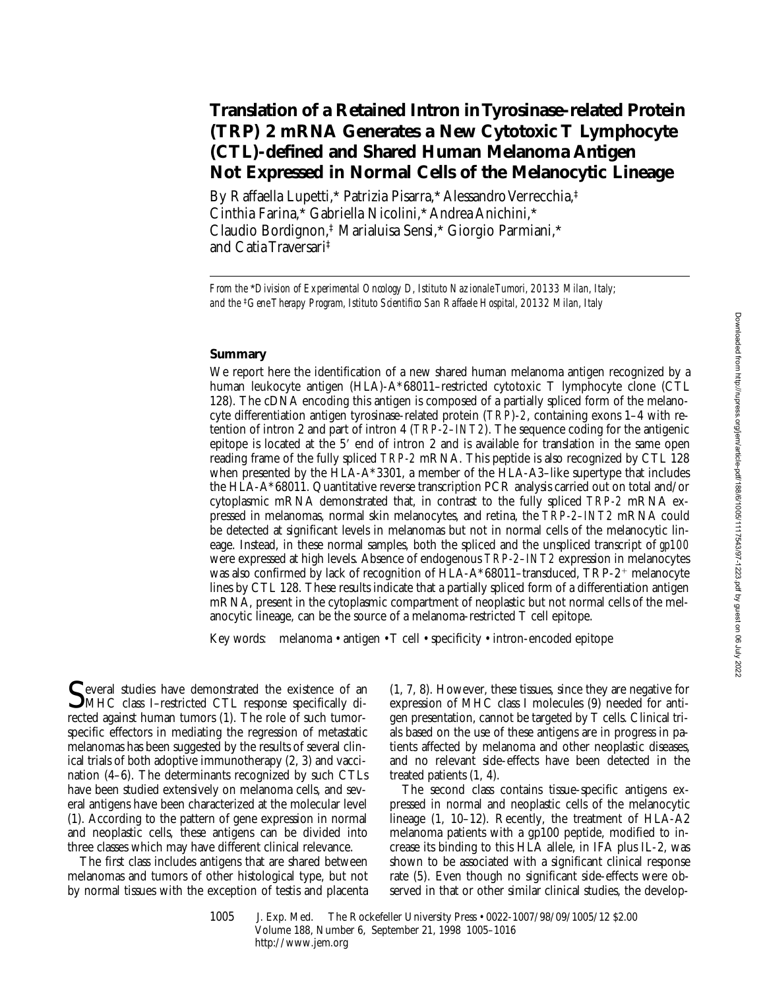# **Translation of a Retained Intron in Tyrosinase-related Protein (TRP) 2 mRNA Generates a New Cytotoxic T Lymphocyte (CTL)-defined and Shared Human Melanoma Antigen Not Expressed in Normal Cells of the Melanocytic Lineage**

By Raffaella Lupetti,\* Patrizia Pisarra,\* Alessandro Verrecchia,‡ Cinthia Farina,\* Gabriella Nicolini,\* Andrea Anichini,\* Claudio Bordignon,‡ Marialuisa Sensi,\* Giorgio Parmiani,\* and Catia Traversari‡

*From the* \**Division of Experimental Oncology D, Istituto Nazionale Tumori, 20133 Milan, Italy; and the* ‡*Gene Therapy Program, Istituto Scientifico San Raffaele Hospital, 20132 Milan, Italy*

### **Summary**

We report here the identification of a new shared human melanoma antigen recognized by a human leukocyte antigen (HLA)-A\*68011–restricted cytotoxic T lymphocyte clone (CTL 128). The cDNA encoding this antigen is composed of a partially spliced form of the melanocyte differentiation antigen tyrosinase-related protein (*TRP*)-*2*, containing exons 1–4 with retention of intron 2 and part of intron 4 (*TRP-2–INT2*). The sequence coding for the antigenic epitope is located at the  $5'$  end of intron 2 and is available for translation in the same open reading frame of the fully spliced *TRP-2* mRNA. This peptide is also recognized by CTL 128 when presented by the HLA-A\*3301, a member of the HLA-A3–like supertype that includes the HLA-A\*68011. Quantitative reverse transcription PCR analysis carried out on total and/or cytoplasmic mRNA demonstrated that, in contrast to the fully spliced *TRP-2* mRNA expressed in melanomas, normal skin melanocytes, and retina, the *TRP-2–INT2* mRNA could be detected at significant levels in melanomas but not in normal cells of the melanocytic lineage. Instead, in these normal samples, both the spliced and the unspliced transcript of *gp100* were expressed at high levels. Absence of endogenous *TRP-2–INT2* expression in melanocytes was also confirmed by lack of recognition of HLA-A\*68011–transduced,  $TRP-2$ <sup>+</sup> melanocyte lines by CTL 128. These results indicate that a partially spliced form of a differentiation antigen mRNA, present in the cytoplasmic compartment of neoplastic but not normal cells of the melanocytic lineage, can be the source of a melanoma-restricted T cell epitope.

Key words: melanoma • antigen • T cell • specificity • intron-encoded epitope

Several studies have demonstrated the existence of an<br>MHC class I–restricted CTL response specifically directed against human tumors (1). The role of such tumorspecific effectors in mediating the regression of metastatic melanomas has been suggested by the results of several clinical trials of both adoptive immunotherapy (2, 3) and vaccination (4–6). The determinants recognized by such CTLs have been studied extensively on melanoma cells, and several antigens have been characterized at the molecular level (1). According to the pattern of gene expression in normal and neoplastic cells, these antigens can be divided into three classes which may have different clinical relevance.

The first class includes antigens that are shared between melanomas and tumors of other histological type, but not by normal tissues with the exception of testis and placenta (1, 7, 8). However, these tissues, since they are negative for expression of MHC class I molecules (9) needed for antigen presentation, cannot be targeted by T cells. Clinical trials based on the use of these antigens are in progress in patients affected by melanoma and other neoplastic diseases, and no relevant side-effects have been detected in the treated patients (1, 4).

The second class contains tissue-specific antigens expressed in normal and neoplastic cells of the melanocytic lineage (1, 10–12). Recently, the treatment of HLA-A2 melanoma patients with a gp100 peptide, modified to increase its binding to this HLA allele, in IFA plus IL-2, was shown to be associated with a significant clinical response rate (5). Even though no significant side-effects were observed in that or other similar clinical studies, the develop-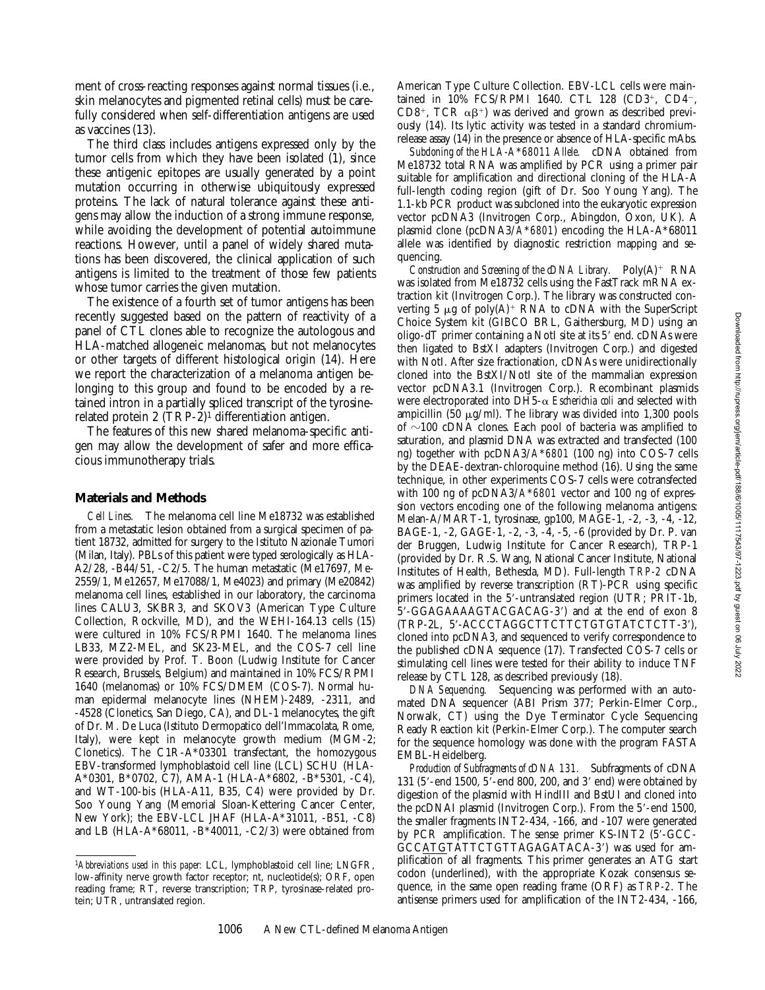ment of cross-reacting responses against normal tissues (i.e., skin melanocytes and pigmented retinal cells) must be carefully considered when self-differentiation antigens are used as vaccines (13).

The third class includes antigens expressed only by the tumor cells from which they have been isolated (1), since these antigenic epitopes are usually generated by a point mutation occurring in otherwise ubiquitously expressed proteins. The lack of natural tolerance against these antigens may allow the induction of a strong immune response, while avoiding the development of potential autoimmune reactions. However, until a panel of widely shared mutations has been discovered, the clinical application of such antigens is limited to the treatment of those few patients whose tumor carries the given mutation.

The existence of a fourth set of tumor antigens has been recently suggested based on the pattern of reactivity of a panel of CTL clones able to recognize the autologous and HLA-matched allogeneic melanomas, but not melanocytes or other targets of different histological origin (14). Here we report the characterization of a melanoma antigen belonging to this group and found to be encoded by a retained intron in a partially spliced transcript of the tyrosinerelated protein 2  $(TRP-2)^1$  differentiation antigen.

The features of this new shared melanoma-specific antigen may allow the development of safer and more efficacious immunotherapy trials.

#### **Materials and Methods**

*Cell Lines.* The melanoma cell line Me18732 was established from a metastatic lesion obtained from a surgical specimen of patient 18732, admitted for surgery to the Istituto Nazionale Tumori (Milan, Italy). PBLs of this patient were typed serologically as HLA-A2/28, -B44/51, -C2/5. The human metastatic (Me17697, Me-2559/1, Me12657, Me17088/1, Me4023) and primary (Me20842) melanoma cell lines, established in our laboratory, the carcinoma lines CALU3, SKBR3, and SKOV3 (American Type Culture Collection, Rockville, MD), and the WEHI-164.13 cells (15) were cultured in 10% FCS/RPMI 1640. The melanoma lines LB33, MZ2-MEL, and SK23-MEL, and the COS-7 cell line were provided by Prof. T. Boon (Ludwig Institute for Cancer Research, Brussels, Belgium) and maintained in 10% FCS/RPMI 1640 (melanomas) or 10% FCS/DMEM (COS-7). Normal human epidermal melanocyte lines (NHEM)-2489, -2311, and -4528 (Clonetics, San Diego, CA), and DL-1 melanocytes, the gift of Dr. M. De Luca (Istituto Dermopatico dell'Immacolata, Rome, Italy), were kept in melanocyte growth medium (MGM-2; Clonetics). The C1R-A\*03301 transfectant, the homozygous EBV-transformed lymphoblastoid cell line (LCL) SCHU (HLA-A\*0301, B\*0702, C7), AMA-1 (HLA-A\*6802, -B\*5301, -C4), and WT-100-bis (HLA-A11, B35, C4) were provided by Dr. Soo Young Yang (Memorial Sloan-Kettering Cancer Center, New York); the EBV-LCL JHAF (HLA-A\*31011, -B51, -C8) and LB (HLA-A\*68011, -B\*40011, -C2/3) were obtained from

American Type Culture Collection. EBV-LCL cells were maintained in 10% FCS/RPMI 1640. CTL 128 (CD3+, CD4-, CD8<sup>+</sup>, TCR  $\alpha\beta$ <sup>+</sup>) was derived and grown as described previously (14). Its lytic activity was tested in a standard chromiumrelease assay (14) in the presence or absence of HLA-specific mAbs.

*Subcloning of the HLA-A*\**68011 Allele.* cDNA obtained from Me18732 total RNA was amplified by PCR using a primer pair suitable for amplification and directional cloning of the HLA-A full-length coding region (gift of Dr. Soo Young Yang). The 1.1-kb PCR product was subcloned into the eukaryotic expression vector pcDNA3 (Invitrogen Corp., Abingdon, Oxon, UK). A plasmid clone (pcDNA3/*A*\**6801*) encoding the HLA-A\*68011 allele was identified by diagnostic restriction mapping and sequencing.

*Construction and Screening of the cDNA Library.*  $Poly(A)^+$  RNA was isolated from Me18732 cells using the FastTrack mRNA extraction kit (Invitrogen Corp.). The library was constructed converting 5  $\mu$ g of poly(A)<sup>+</sup> RNA to cDNA with the SuperScript Choice System kit (GIBCO BRL, Gaithersburg, MD) using an oligo-d $T$  primer containing a NotI site at its  $5'$  end. cDNAs were then ligated to BstXI adapters (Invitrogen Corp.) and digested with NotI. After size fractionation, cDNAs were unidirectionally cloned into the BstXI/NotI site of the mammalian expression vector pcDNA3.1 (Invitrogen Corp.). Recombinant plasmids were electroporated into DH5-a *Escherichia coli* and selected with ampicillin (50  $\mu$ g/ml). The library was divided into 1,300 pools of  $\sim$ 100 cDNA clones. Each pool of bacteria was amplified to saturation, and plasmid DNA was extracted and transfected (100 ng) together with pcDNA3/*A*\**6801* (100 ng) into COS-7 cells by the DEAE-dextran-chloroquine method (16). Using the same technique, in other experiments COS-7 cells were cotransfected with 100 ng of pcDNA3/*A*\**6801* vector and 100 ng of expression vectors encoding one of the following melanoma antigens: Melan-A/MART-1, tyrosinase, gp100, MAGE-1, -2, -3, -4, -12, BAGE-1, -2, GAGE-1, -2, -3, -4, -5, -6 (provided by Dr. P. van der Bruggen, Ludwig Institute for Cancer Research), TRP-1 (provided by Dr. R.S. Wang, National Cancer Institute, National Institutes of Health, Bethesda, MD). Full-length *TRP-2* cDNA was amplified by reverse transcription (RT)-PCR using specific primers located in the 5'-untranslated region (UTR; PRIT-1b, 5'-GGAGAAAAGTACGACAG-3') and at the end of exon 8 (TRP-2L, 5'-ACCCTAGGCTTCTTCTGTGTATCTCTT-3'), cloned into pcDNA3, and sequenced to verify correspondence to the published cDNA sequence (17). Transfected COS-7 cells or stimulating cell lines were tested for their ability to induce TNF release by CTL 128, as described previously (18).

*DNA Sequencing.* Sequencing was performed with an automated DNA sequencer (ABI Prism 377; Perkin-Elmer Corp., Norwalk, CT) using the Dye Terminator Cycle Sequencing Ready Reaction kit (Perkin-Elmer Corp.). The computer search for the sequence homology was done with the program FASTA EMBL-Heidelberg.

*Production of Subfragments of cDNA 131.* Subfragments of cDNA 131 (5'-end 1500,  $5'$ -end 800, 200, and 3' end) were obtained by digestion of the plasmid with HindIII and BstUI and cloned into the pcDNAI plasmid (Invitrogen Corp.). From the  $5'$ -end 1500, the smaller fragments INT2-434, -166, and -107 were generated by PCR amplification. The sense primer  $KS$ -INT2 (5'-GCC-GCCATGTATTCTGTTAGAGATACA-3') was used for amplification of all fragments. This primer generates an ATG start codon (underlined), with the appropriate Kozak consensus sequence, in the same open reading frame (ORF) as *TRP-2*. The antisense primers used for amplification of the INT2-434, -166,

<sup>1</sup>*Abbreviations used in this paper:* LCL, lymphoblastoid cell line; LNGFR, low-affinity nerve growth factor receptor; nt, nucleotide(s); ORF, open reading frame; RT, reverse transcription; TRP, tyrosinase-related protein; UTR, untranslated region.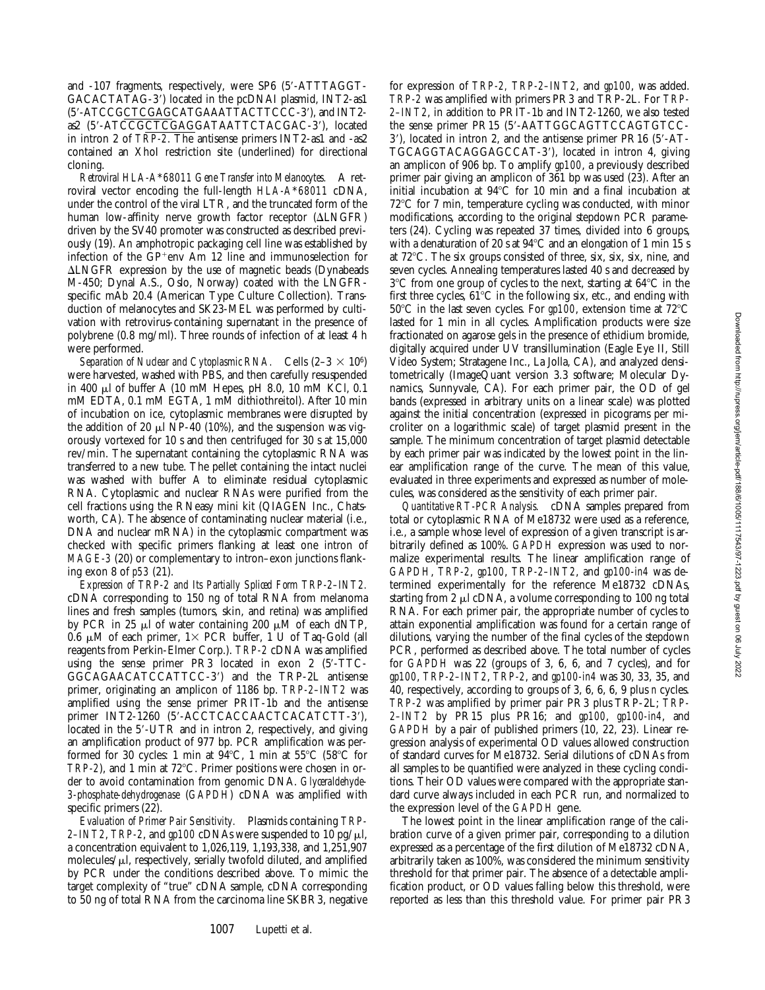and -107 fragments, respectively, were SP6 (5'-ATTTAGGT-GACACTATAG-3') located in the pcDNAI plasmid, INT2-as1 (5'-ATCCGCTCGAGCATGAAATTACTTCCC-3'), and INT2as2 (5'-ATCCGCTCGAGGATAATTCTACGAC-3'), located in intron 2 of *TRP-2*. The antisense primers INT2-as1 and -as2 contained an XhoI restriction site (underlined) for directional cloning.

*Retroviral HLA-A*\**68011 Gene Transfer into Melanocytes.* A retroviral vector encoding the full-length *HLA-A*\**68011* cDNA, under the control of the viral LTR, and the truncated form of the human low-affinity nerve growth factor receptor  $(\Delta L N GFR)$ driven by the SV40 promoter was constructed as described previously (19). An amphotropic packaging cell line was established by infection of the  $GP$ <sup>+</sup>env Am 12 line and immunoselection for  $\Delta L N GFR$  expression by the use of magnetic beads (Dynabeads M-450; Dynal A.S., Oslo, Norway) coated with the LNGFRspecific mAb 20.4 (American Type Culture Collection). Transduction of melanocytes and SK23-MEL was performed by cultivation with retrovirus-containing supernatant in the presence of polybrene (0.8 mg/ml). Three rounds of infection of at least 4 h were performed.

*Separation of Nuclear and Cytoplasmic RNA.* Cells  $(2-3 \times 10^6)$ were harvested, washed with PBS, and then carefully resuspended in 400 ml of buffer A (10 mM Hepes, pH 8.0, 10 mM KCl, 0.1 mM EDTA, 0.1 mM EGTA, 1 mM dithiothreitol). After 10 min of incubation on ice, cytoplasmic membranes were disrupted by the addition of 20  $\mu$ l NP-40 (10%), and the suspension was vigorously vortexed for 10 s and then centrifuged for 30 s at 15,000 rev/min. The supernatant containing the cytoplasmic RNA was transferred to a new tube. The pellet containing the intact nuclei was washed with buffer A to eliminate residual cytoplasmic RNA. Cytoplasmic and nuclear RNAs were purified from the cell fractions using the RNeasy mini kit (QIAGEN Inc., Chatsworth, CA). The absence of contaminating nuclear material (i.e., DNA and nuclear mRNA) in the cytoplasmic compartment was checked with specific primers flanking at least one intron of *MAGE-3* (20) or complementary to intron–exon junctions flanking exon 8 of *p53* (21).

*Expression of TRP-2 and Its Partially Spliced Form TRP-2–INT2.* cDNA corresponding to 150 ng of total RNA from melanoma lines and fresh samples (tumors, skin, and retina) was amplified by PCR in 25  $\mu$ l of water containing 200  $\mu$ M of each dNTP, 0.6  $\mu$ M of each primer, 1× PCR buffer, 1 U of Taq-Gold (all reagents from Perkin-Elmer Corp.). *TRP-2* cDNA was amplified using the sense primer  $PR3$  located in exon 2 (5'-TTC-GGCAGAACATCCATTCC-3') and the TRP-2L antisense primer, originating an amplicon of 1186 bp. *TRP-2–INT2* was amplified using the sense primer PRIT-1b and the antisense primer INT2-1260 (5'-ACCTCACCAACTCACATCTT-3'), located in the 5'-UTR and in intron 2, respectively, and giving an amplification product of 977 bp. PCR amplification was performed for 30 cycles: 1 min at  $94^{\circ}$ C, 1 min at  $55^{\circ}$ C ( $58^{\circ}$ C for *TRP-2*), and 1 min at 72°C. Primer positions were chosen in order to avoid contamination from genomic DNA. *Glyceraldehyde-3-phosphate-dehydrogenase* (*GAPDH*) cDNA was amplified with specific primers (22).

*Evaluation of Primer Pair Sensitivity.* Plasmids containing *TRP-2–INT2*, *TRP-2*, and  $gp100$  cDNAs were suspended to 10 pg/ $\mu$ l, a concentration equivalent to 1,026,119, 1,193,338, and 1,251,907 molecules/ $\mu$ l, respectively, serially twofold diluted, and amplified by PCR under the conditions described above. To mimic the target complexity of "true" cDNA sample, cDNA corresponding to 50 ng of total RNA from the carcinoma line SKBR3, negative

for expression of *TRP-2, TRP-2–INT2*, and *gp100*, was added. *TRP-2* was amplified with primers PR3 and TRP-2L. For *TRP-2–INT2*, in addition to PRIT-1b and INT2-1260, we also tested the sense primer PR15 (5'-AATTGGCAGTTCCAGTGTCC- $3'$ ), located in intron 2, and the antisense primer PR16 ( $5'$ -AT-TGCAGGTACAGGAGCCAT-3'), located in intron 4, giving an amplicon of 906 bp. To amplify *gp100*, a previously described primer pair giving an amplicon of 361 bp was used (23). After an initial incubation at  $94^{\circ}$ C for 10 min and a final incubation at  $72^{\circ}$ C for 7 min, temperature cycling was conducted, with minor modifications, according to the original stepdown PCR parameters (24). Cycling was repeated 37 times, divided into 6 groups, with a denaturation of 20 s at  $94^{\circ}$ C and an elongation of 1 min 15 s at  $72^{\circ}$ C. The six groups consisted of three, six, six, six, nine, and seven cycles. Annealing temperatures lasted 40 s and decreased by  $3^{\circ}$ C from one group of cycles to the next, starting at 64 $^{\circ}$ C in the first three cycles,  $61^{\circ}$ C in the following six, etc., and ending with  $50^{\circ}$ C in the last seven cycles. For  $gp100$ , extension time at  $72^{\circ}$ C lasted for 1 min in all cycles. Amplification products were size fractionated on agarose gels in the presence of ethidium bromide, digitally acquired under UV transillumination (Eagle Eye II, Still Video System; Stratagene Inc., La Jolla, CA), and analyzed densitometrically (ImageQuant version 3.3 software; Molecular Dynamics, Sunnyvale, CA). For each primer pair, the OD of gel bands (expressed in arbitrary units on a linear scale) was plotted against the initial concentration (expressed in picograms per microliter on a logarithmic scale) of target plasmid present in the sample. The minimum concentration of target plasmid detectable by each primer pair was indicated by the lowest point in the linear amplification range of the curve. The mean of this value, evaluated in three experiments and expressed as number of molecules, was considered as the sensitivity of each primer pair.

*Quantitative RT-PCR Analysis.* cDNA samples prepared from total or cytoplasmic RNA of Me18732 were used as a reference, i.e., a sample whose level of expression of a given transcript is arbitrarily defined as 100%. *GAPDH* expression was used to normalize experimental results. The linear amplification range of *GAPDH*, *TRP-2*, *gp100*, *TRP-2–INT2*, and *gp100-in4* was determined experimentally for the reference Me18732 cDNAs, starting from  $2 \mu l$  cDNA, a volume corresponding to 100 ng total RNA. For each primer pair, the appropriate number of cycles to attain exponential amplification was found for a certain range of dilutions, varying the number of the final cycles of the stepdown PCR, performed as described above. The total number of cycles for *GAPDH* was 22 (groups of 3, 6, 6, and 7 cycles), and for *gp100*, *TRP-2–INT2*, *TRP-2*, and *gp100-in4* was 30, 33, 35, and 40, respectively, according to groups of 3, 6, 6, 6, 9 plus *n* cycles. *TRP-2* was amplified by primer pair PR3 plus TRP-2L; *TRP-2–INT2* by PR15 plus PR16; and *gp100*, *gp100-in4*, and *GAPDH* by a pair of published primers (10, 22, 23). Linear regression analysis of experimental OD values allowed construction of standard curves for Me18732. Serial dilutions of cDNAs from all samples to be quantified were analyzed in these cycling conditions. Their OD values were compared with the appropriate standard curve always included in each PCR run, and normalized to the expression level of the *GAPDH* gene.

The lowest point in the linear amplification range of the calibration curve of a given primer pair, corresponding to a dilution expressed as a percentage of the first dilution of Me18732 cDNA, arbitrarily taken as 100%, was considered the minimum sensitivity threshold for that primer pair. The absence of a detectable amplification product, or OD values falling below this threshold, were reported as less than this threshold value. For primer pair PR3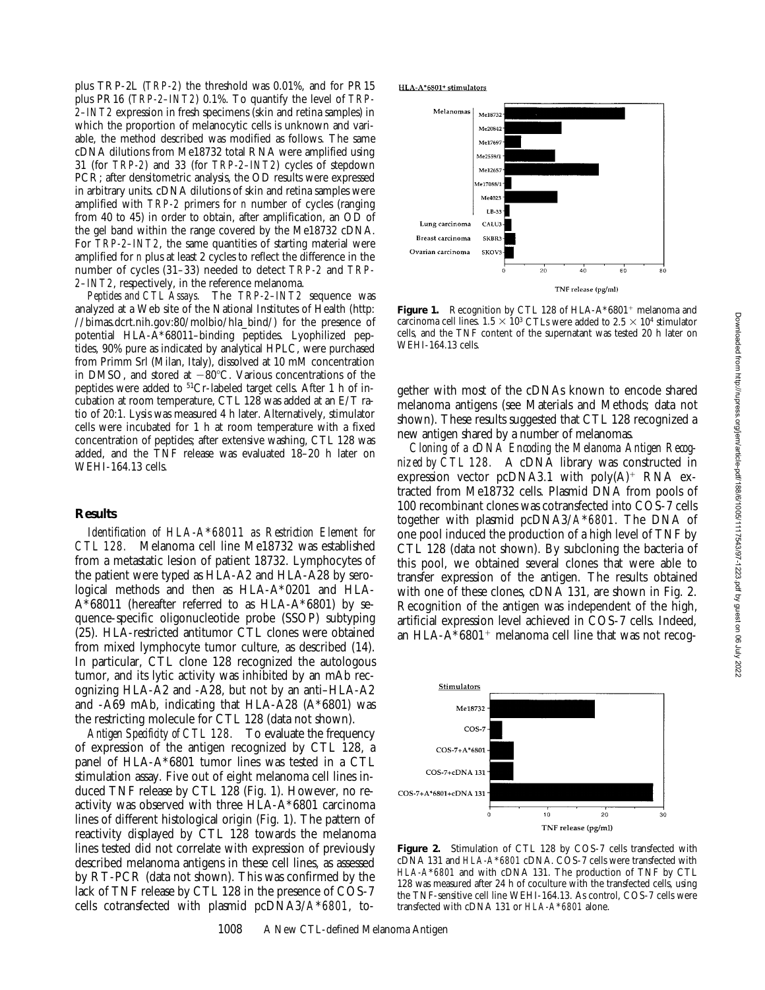plus TRP-2L (*TRP-2*) the threshold was 0.01%, and for PR15 plus PR16 (*TRP-2–INT2*) 0.1%. To quantify the level of *TRP-2–INT2* expression in fresh specimens (skin and retina samples) in which the proportion of melanocytic cells is unknown and variable, the method described was modified as follows. The same cDNA dilutions from Me18732 total RNA were amplified using 31 (for *TRP-2*) and 33 (for *TRP-2–INT2*) cycles of stepdown PCR; after densitometric analysis, the OD results were expressed in arbitrary units. cDNA dilutions of skin and retina samples were amplified with *TRP-2* primers for *n* number of cycles (ranging from 40 to 45) in order to obtain, after amplification, an OD of the gel band within the range covered by the Me18732 cDNA. For *TRP-2–INT2*, the same quantities of starting material were amplified for *n* plus at least 2 cycles to reflect the difference in the number of cycles (31–33) needed to detect *TRP-2* and *TRP-2–INT2*, respectively, in the reference melanoma.

*Peptides and CTL Assays.* The *TRP-2–INT2* sequence was analyzed at a Web site of the National Institutes of Health (http: //bimas.dcrt.nih.gov:80/molbio/hla\_bind/) for the presence of potential HLA-A\*68011–binding peptides. Lyophilized peptides, 90% pure as indicated by analytical HPLC, were purchased from Primm Srl (Milan, Italy), dissolved at 10 mM concentration in DMSO, and stored at  $-80^{\circ}$ C. Various concentrations of the peptides were added to 51Cr-labeled target cells. After 1 h of incubation at room temperature, CTL 128 was added at an E/T ratio of 20:1. Lysis was measured 4 h later. Alternatively, stimulator cells were incubated for 1 h at room temperature with a fixed concentration of peptides; after extensive washing, CTL 128 was added, and the TNF release was evaluated 18–20 h later on WEHI-164.13 cells.

#### **Results**

*Identification of HLA-A*\**68011 as Restriction Element for CTL 128.* Melanoma cell line Me18732 was established from a metastatic lesion of patient 18732. Lymphocytes of the patient were typed as HLA-A2 and HLA-A28 by serological methods and then as HLA-A\*0201 and HLA- $A*68011$  (hereafter referred to as HLA- $A*6801$ ) by sequence-specific oligonucleotide probe (SSOP) subtyping (25). HLA-restricted antitumor CTL clones were obtained from mixed lymphocyte tumor culture, as described (14). In particular, CTL clone 128 recognized the autologous tumor, and its lytic activity was inhibited by an mAb recognizing HLA-A2 and -A28, but not by an anti–HLA-A2 and -A69 mAb, indicating that HLA-A28 (A\*6801) was the restricting molecule for CTL 128 (data not shown).

*Antigen Specificity of CTL 128.* To evaluate the frequency of expression of the antigen recognized by CTL 128, a panel of HLA-A\*6801 tumor lines was tested in a CTL stimulation assay. Five out of eight melanoma cell lines induced TNF release by CTL 128 (Fig. 1). However, no reactivity was observed with three HLA-A\*6801 carcinoma lines of different histological origin (Fig. 1). The pattern of reactivity displayed by CTL 128 towards the melanoma lines tested did not correlate with expression of previously described melanoma antigens in these cell lines, as assessed by RT-PCR (data not shown). This was confirmed by the lack of TNF release by CTL 128 in the presence of COS-7 cells cotransfected with plasmid pcDNA3/*A*\**6801*, toHLA-A\*6801+ stimulators



**Figure 1.** Recognition by CTL 128 of HLA-A\*6801<sup>+</sup> melanoma and carcinoma cell lines.  $1.5 \times 10^3$  CTLs were added to  $2.5 \times 10^4$  stimulator cells, and the TNF content of the supernatant was tested 20 h later on WEHI-164.13 cells.

gether with most of the cDNAs known to encode shared melanoma antigens (see Materials and Methods; data not shown). These results suggested that CTL 128 recognized a new antigen shared by a number of melanomas.

*Cloning of a cDNA Encoding the Melanoma Antigen Recognized by CTL 128.* A cDNA library was constructed in expression vector pcDNA3.1 with  $poly(A)^+$  RNA extracted from Me18732 cells. Plasmid DNA from pools of 100 recombinant clones was cotransfected into COS-7 cells together with plasmid pcDNA3/*A*\**6801*. The DNA of one pool induced the production of a high level of TNF by CTL 128 (data not shown). By subcloning the bacteria of this pool, we obtained several clones that were able to transfer expression of the antigen. The results obtained with one of these clones, cDNA 131, are shown in Fig. 2. Recognition of the antigen was independent of the high, artificial expression level achieved in COS-7 cells. Indeed, an HLA-A $*6801$ <sup>+</sup> melanoma cell line that was not recog-



**Figure 2.** Stimulation of CTL 128 by COS-7 cells transfected with cDNA 131 and *HLA-A*\**6801* cDNA. COS-7 cells were transfected with *HLA-A*\**6801* and with cDNA 131. The production of TNF by CTL 128 was measured after 24 h of coculture with the transfected cells, using the TNF-sensitive cell line WEHI-164.13. As control, COS-7 cells were transfected with cDNA 131 or *HLA-A*\**6801* alone.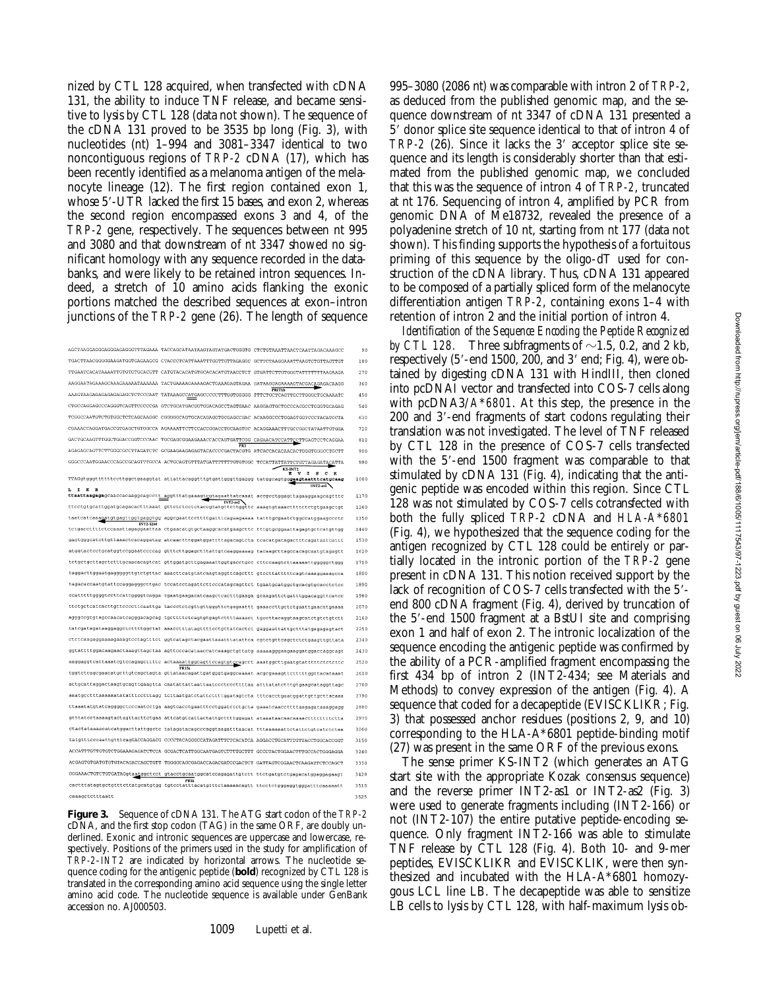nized by CTL 128 acquired, when transfected with cDNA 131, the ability to induce TNF release, and became sensitive to lysis by CTL 128 (data not shown). The sequence of the cDNA 131 proved to be 3535 bp long (Fig. 3), with nucleotides (nt) 1–994 and 3081–3347 identical to two noncontiguous regions of *TRP-2* cDNA (17), which has been recently identified as a melanoma antigen of the melanocyte lineage (12). The first region contained exon 1, whose 5'-UTR lacked the first 15 bases, and exon 2, whereas the second region encompassed exons 3 and 4, of the *TRP-2* gene, respectively. The sequences between nt 995 and 3080 and that downstream of nt 3347 showed no significant homology with any sequence recorded in the databanks, and were likely to be retained intron sequences. Indeed, a stretch of 10 amino acids flanking the exonic portions matched the described sequences at exon–intron junctions of the *TRP-2* gene (26). The length of sequence

| AGCTAAGGAGGGAGGGAGAGGGTTTAGAAA TACCAGCATAATAAGTAGTATGACTGGGTG CTCTGTAAATTAACTCAATTAGACAAAGCC                        | 90   |
|---------------------------------------------------------------------------------------------------------------------|------|
| TGACTTAACGGGGGAAGATGGTGAGAAGCG CTACCCTCATTAAATTTGGTTGTTAGAGGC GCTTCTAAGGAAATTAAGTCTGTTAGTTGT                        | 180  |
| TTGAATCACATAAAATTGTGTGTGCACGTT CATGTACACATGTGCACACATGTAACCTCT GTGATTCTTGTGGGTATTTTTTAAGAAGA                         | 270  |
| <b>PRITIN</b>                                                                                                       | 360  |
| AAAGTAAGAGAGAGAGAGAGCTCTCCCAAT TATAAAGCCATGAGCCCCCTTTGGTGGGG TTTCTGCTCAGTTGCTTGGGCTGCAAAATC                         | 450  |
| CTGCCAGGAGCCCAGGGTCAGTTCCCCCGA GTCTGCATGACGGTGGACAGCCTAGTGAAC AAGGAGTGCTGCCCACGCCTGGGTGCAGAG                        | 540  |
| TCGGCCAATGTCTGTGGCTCTCAGCAAGGC CGGGGGCAGTGCACAGAGGTGCGAGCCGAC ACAAGGCCCTGGAGTGGTCCCTACATCCTA                        | 630  |
| CGAAACCAGGATGACCGTGAGCTGTGGCCA AGAAAATTCTTCCACCGGACCTGCAAGTGC ACAGGAAACTTTGCCGGCTATAATTGTGGA                        | 720  |
| GACTGCAAGTTTGGCTGGACCGGTCCCAAC TGCGAGCGGAAGAAACCACCAGTGATTCGG CAGAACATCCATTCCTTGAGTCCTCAGGAA<br><b>PR3</b>          | 810  |
| AGAGAGCAGTTCTTGGGCGCCTTAGATCTC GCGAAGAAGAGAGTACACCCCGACTACGTG ATCACCACACACACACTGGGTGGGCCTGCTT                       | 900  |
| GGGCCCAATGGAACCCAGCCGCAGTTTGCCA ACTGCAGTGTTTATGATTTTTTTGTGTGGC TCCATTATTATTCTGTTAGAGATACATTA                        | 990  |
| KS-INT <sub>2</sub><br>ī,<br>т<br>s.<br>$\mathbf{c}$<br>$\mathbf{K}$<br>R                                           |      |
| TTAGgtgggttttttccttggctgaaggtat attattacaggtttgtgattgggttgaggg tatggcagtgggaagtaatttcatgcaag<br><b>INT2-as1</b>     | 1080 |
| I K<br>$\mathbf{R}$<br>ttaattaagagagcaaccacaaggcagcctt aggtttatgaaagtcgtagaattatcaaat accgcctggagttagaaggaagcagtttc | 1170 |
| $INT2-382$<br>tteetgtgeattggatgeagacaetttaaat gtteteteetetaeegtatgttettggtte aaagtgtaaaettttetetgtgaagetgt          | 1260 |
| taatcatcaaagatgtgagttggtgaggtgg aggcgaattccttttgatttcagaagaaaa tatttgcgaatctggccatqgaaqccctc                        | 1350 |
| INT2-1260<br>tctgaccttttctccaaattagaggaattaa ctgaacatgtgctaaggcacatgaagcttc tttgtgcggaattagagtgctcatgttgg           | 1440 |
| gagtgggcatettgttaaaeteaeaggatag ateaaetttggatggattttagaeagteta teaeatgatagaettteagataateattt                        | 1530 |
| atggtactcctgcatggtccggaatecccag gtttcttggagctttattgtcaaqqaaaaq tacaaqcttaqccacaqcaatqtaqaqtt                        | 1620 |
| tetgetgettagetetttgeaacacagteat gttggatgettgagaaattggtgaeetgee ettecaagtettaaaaattgggggetggg                        | 1710 |
| taggacttggaatgagggggttgtctgttac aaacttcatgtatcaagtaggttcagcttt gtccttatttttcagtcaaaggaaagcca                        | 1800 |
| tagacaccaatgtattccaggagggcttgac tccatcctagattcttcccatagcagttct tgaatgcatggctgcacgtgcacctctcc                        | 1890 |
| ccatttttggggtccttcattggggtcagga tgaatgaagacatcaagctcactttgaaga qcaagattctgatttggacaggttcatcc                        | 1980 |
| ttctgctcatcacttgttccccttcaattga taccctctcqttqttqqqttctqaqaattt qaaaccttgctctqaattgaacatgaaaa                        | 2070 |
| aqqqccqtqtaqccaacatcaqqqacaqcaq tqcttttctcaqtqtqaqtcttttaaaact tqccttacaqqtaaqcatctqtctqtctt                        | 2160 |
| tatogatagataaggaggotottttggotat aaaootttatagttttootgttatoaotot gaggaattattgotttatgagagagtact                        | 2250 |
| ctctcaagaggaaaagaaagtcctagtttct ggtcatagctacgaattaaatttatattca cgtctgttcagctctctgaagttgttata                        | 2340 |
| ggtattttggacaagaactaaagttagctaa agttcccacataaccatcaaagctgttatg aaaaagggaagaaggatggaccaggcagt                        | 2430 |
| aaggaggtcattaaatcgtccagagcttttc actaa <u>aattgg</u> cagttccagtgtccagcct aaatggcttgaatgtatttttctctcttc               | 2520 |
| <b>PR15s</b><br>tggtctcagcgaacatgcttgtcagctagta gttataacagattgatgggtgaggcaaaat acgcgaaagttctttttggttacataaat        | 2610 |
| actgcattaggactaagtgcagttgaagtta caatattattaattaatecctcccttttaa atttatatetttgtgaagcataggttagc                        | 2700 |
| aaatgootttaaaaaatatatttootttagg tottaatgatotattottttggatagtota tttoaootgaatggattgttgottacaaa                        | 2790 |
| ttaaatatgtatcaggggctcccaatcctga aagtcacctgaatttcctggatctctgcta gaaatcaaccttttaagagataaaggagg                        | 2880 |
| gtttatcctaaaagtactagttacttctgaa attcatgtcattactattgcttttggagat ataaataacaacaaaacttttttttctta                        | 2970 |
| ctactataaaacatcatggacttattggctc tataqatacagcccaqqtaaqatttaacat titaaaaaattctattctgtcatctcaa                         | 3060 |
| tatgtttcccaattgtttcagGACCAGGACG CCCCTACAGGGCCATAGATTTCTCACATCA AGGACCTGCATTTGTTACCTGGCACCGGT                        | 3150 |
| ACCATTTGTTGTCTGCAAAGAGATCTCCA GCGACTCATTGGCAATGAGTCTTTTGCTTT GCCCTACTGGAACTTTGCCACTGGGAGGA                          | 3240 |
| ACGAGTGTGATGTGTGTACAGACCAGCTGTT TGGGGCAGCGAGACCAGACGATCCGACTCT GATTAGTCGGAACTCAAGATTCTCCAGCT                        | 3330 |
| GGGAAACTGTCTGTGATAGgtaatggctcct gtacctgcaatggcatccagagattgtctt ttctgatgtctgagacatggaggagaagt                        | 3420 |
| <b>PR16</b><br>cactttatagtgctgtttcttatgcatgtgg tgtcctatttacatgtttctaaaaacagtt ttcctctgggaggtgggatttcaaaaatt         | 3510 |
| <b>CAAAGCECEFTAAFF</b>                                                                                              | 3525 |
|                                                                                                                     |      |

**Figure 3.** Sequence of cDNA 131. The ATG start codon of the *TRP-2* cDNA, and the first stop codon (TAG) in the same ORF, are doubly underlined. Exonic and intronic sequences are uppercase and lowercase, respectively. Positions of the primers used in the study for amplification of *TRP-2–INT2* are indicated by horizontal arrows. The nucleotide sequence coding for the antigenic peptide (**bold**) recognized by CTL 128 is translated in the corresponding amino acid sequence using the single letter amino acid code. The nucleotide sequence is available under GenBank accession no. AJ000503.

995–3080 (2086 nt) was comparable with intron 2 of *TRP-2*, as deduced from the published genomic map, and the sequence downstream of nt 3347 of cDNA 131 presented a  $5'$  donor splice site sequence identical to that of intron 4 of *TRP-2* (26). Since it lacks the 3' acceptor splice site sequence and its length is considerably shorter than that estimated from the published genomic map, we concluded that this was the sequence of intron 4 of *TRP-2*, truncated at nt 176. Sequencing of intron 4, amplified by PCR from genomic DNA of Me18732, revealed the presence of a polyadenine stretch of 10 nt, starting from nt 177 (data not shown). This finding supports the hypothesis of a fortuitous priming of this sequence by the oligo-dT used for construction of the cDNA library. Thus, cDNA 131 appeared to be composed of a partially spliced form of the melanocyte differentiation antigen *TRP-2*, containing exons 1–4 with retention of intron 2 and the initial portion of intron 4.

*Identification of the Sequence Encoding the Peptide Recognized* by CTL 128. Three subfragments of  $\sim$ 1.5, 0.2, and 2 kb, respectively  $(5'$ -end 1500, 200, and  $3'$  end; Fig. 4), were obtained by digesting cDNA 131 with HindIII, then cloned into pcDNAI vector and transfected into COS-7 cells along with pcDNA3/*A*\**6801*. At this step, the presence in the 200 and 3'-end fragments of start codons regulating their translation was not investigated. The level of TNF released by CTL 128 in the presence of COS-7 cells transfected with the 5'-end 1500 fragment was comparable to that stimulated by cDNA 131 (Fig. 4), indicating that the antigenic peptide was encoded within this region. Since CTL 128 was not stimulated by COS-7 cells cotransfected with both the fully spliced *TRP-2* cDNA and *HLA-A*\**6801* (Fig. 4), we hypothesized that the sequence coding for the antigen recognized by CTL 128 could be entirely or partially located in the intronic portion of the *TRP-2* gene present in cDNA 131. This notion received support by the lack of recognition of COS-7 cells transfected with the 5'end 800 cDNA fragment (Fig. 4), derived by truncation of the 5'-end 1500 fragment at a BstUI site and comprising exon 1 and half of exon 2. The intronic localization of the sequence encoding the antigenic peptide was confirmed by the ability of a PCR-amplified fragment encompassing the first 434 bp of intron 2 (INT2-434; see Materials and Methods) to convey expression of the antigen (Fig. 4). A sequence that coded for a decapeptide (EVISCKLIKR; Fig. 3) that possessed anchor residues (positions 2, 9, and 10) corresponding to the HLA-A\*6801 peptide-binding motif (27) was present in the same ORF of the previous exons.

The sense primer KS-INT2 (which generates an ATG start site with the appropriate Kozak consensus sequence) and the reverse primer INT2-as1 or INT2-as2 (Fig. 3) were used to generate fragments including (INT2-166) or not (INT2-107) the entire putative peptide-encoding sequence. Only fragment INT2-166 was able to stimulate TNF release by CTL 128 (Fig. 4). Both 10- and 9-mer peptides, EVISCKLIKR and EVISCKLIK, were then synthesized and incubated with the HLA-A\*6801 homozygous LCL line LB. The decapeptide was able to sensitize LB cells to lysis by CTL 128, with half-maximum lysis ob-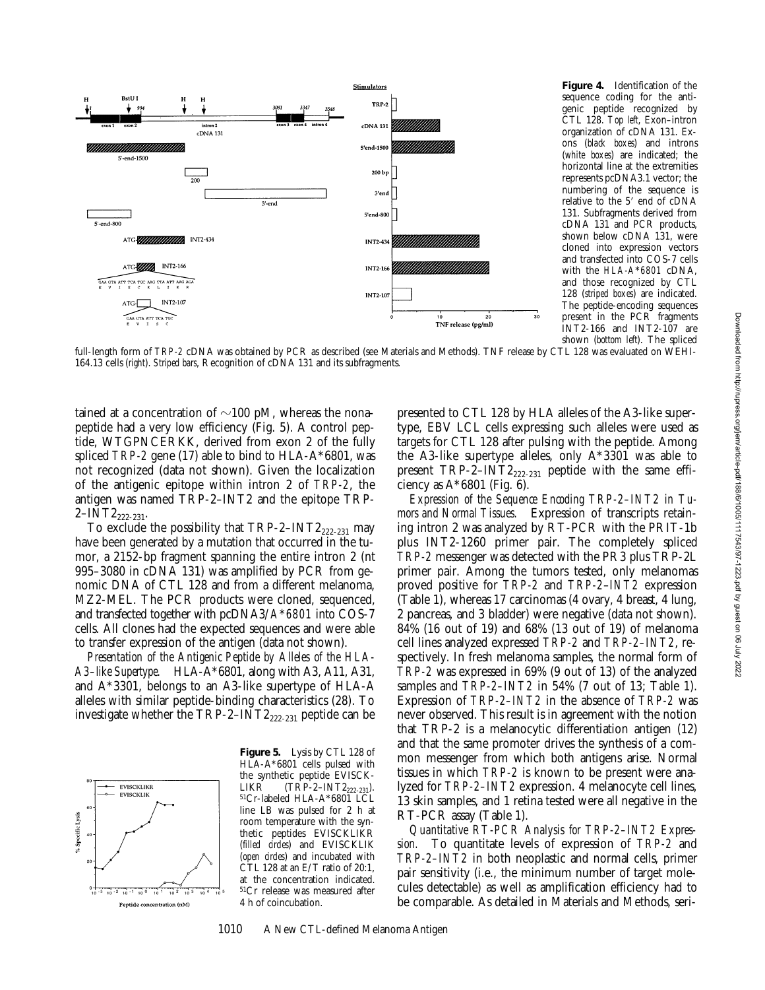

**Figure 4.** Identification of the sequence coding for the antigenic peptide recognized by CTL 128. *Top left*, Exon–intron organization of cDNA 131. Exons (*black boxes*) and introns (*white boxes*) are indicated; the horizontal line at the extremities represents pcDNA3.1 vector; the numbering of the sequence is relative to the 5' end of cDNA 131. Subfragments derived from cDNA 131 and PCR products, shown below cDNA 131, were cloned into expression vectors and transfected into COS-7 cells with the *HLA-A*\**6801* cDNA, and those recognized by CTL 128 (*striped boxes*) are indicated. The peptide-encoding sequences present in the PCR fragments INT2-166 and INT2-107 are shown (*bottom left*). The spliced

full-length form of *TRP-2* cDNA was obtained by PCR as described (see Materials and Methods). TNF release by CTL 128 was evaluated on WEHI-164.13 cells (*right*). *Striped bars*, Recognition of cDNA 131 and its subfragments.

tained at a concentration of  $\sim$ 100 pM, whereas the nonapeptide had a very low efficiency (Fig. 5). A control peptide, WTGPNCERKK, derived from exon 2 of the fully spliced *TRP-2* gene (17) able to bind to HLA-A\*6801, was not recognized (data not shown). Given the localization of the antigenic epitope within intron 2 of *TRP-2*, the antigen was named TRP-2–INT2 and the epitope TRP- $2$ –INT $2_{222-231}$ .

To exclude the possibility that  $TRP-2-INT2_{222-231}$  may have been generated by a mutation that occurred in the tumor, a 2152-bp fragment spanning the entire intron 2 (nt 995–3080 in cDNA 131) was amplified by PCR from genomic DNA of CTL 128 and from a different melanoma, MZ2-MEL. The PCR products were cloned, sequenced, and transfected together with pcDNA3/*A*\**6801* into COS-7 cells. All clones had the expected sequences and were able to transfer expression of the antigen (data not shown).

*Presentation of the Antigenic Peptide by Alleles of the HLA-A3–like Supertype.* HLA-A\*6801, along with A3, A11, A31, and A\*3301, belongs to an A3-like supertype of HLA-A alleles with similar peptide-binding characteristics (28). To investigate whether the TRP-2– $INT2_{222-231}$  peptide can be



**Figure 5.** Lysis by CTL 128 of HLA-A\*6801 cells pulsed with the synthetic peptide EVISCK-<br>LIKR (TRP-2-INT2<sub>222-231</sub>). LIKR (TRP-2–INT2<sub>222-231</sub>).<br><sup>51</sup>Cr-labeled HLA-A\*6801 LCL line LB was pulsed for 2 h at room temperature with the synthetic peptides EVISCKLIKR (*filled circles*) and EVISCKLIK (*open circles*) and incubated with CTL 128 at an E/T ratio of 20:1, at the concentration indicated. 51Cr release was measured after 4 h of coincubation.

presented to CTL 128 by HLA alleles of the A3-like supertype, EBV LCL cells expressing such alleles were used as targets for CTL 128 after pulsing with the peptide. Among the A3-like supertype alleles, only A\*3301 was able to present  $TRP-2-INT2_{222-231}$  peptide with the same efficiency as A\*6801 (Fig. 6).

*Expression of the Sequence Encoding TRP-2–INT2 in Tumors and Normal Tissues.* Expression of transcripts retaining intron 2 was analyzed by RT-PCR with the PRIT-1b plus INT2-1260 primer pair. The completely spliced *TRP-2* messenger was detected with the PR3 plus TRP-2L primer pair. Among the tumors tested, only melanomas proved positive for *TRP-2* and *TRP-2*–*INT2* expression (Table 1), whereas 17 carcinomas (4 ovary, 4 breast, 4 lung, 2 pancreas, and 3 bladder) were negative (data not shown). 84% (16 out of 19) and 68% (13 out of 19) of melanoma cell lines analyzed expressed *TRP-2* and *TRP-2–INT2*, respectively. In fresh melanoma samples, the normal form of *TRP-2* was expressed in 69% (9 out of 13) of the analyzed samples and *TRP-2–INT2* in 54% (7 out of 13; Table 1). Expression of *TRP-2–INT2* in the absence of *TRP-2* was never observed. This result is in agreement with the notion that TRP-2 is a melanocytic differentiation antigen (12) and that the same promoter drives the synthesis of a common messenger from which both antigens arise. Normal tissues in which *TRP-2* is known to be present were analyzed for *TRP-2–INT2* expression. 4 melanocyte cell lines, 13 skin samples, and 1 retina tested were all negative in the RT-PCR assay (Table 1).

*Quantitative RT-PCR Analysis for TRP-2–INT2 Expression.* To quantitate levels of expression of *TRP-2* and *TRP-2–INT2* in both neoplastic and normal cells, primer pair sensitivity (i.e., the minimum number of target molecules detectable) as well as amplification efficiency had to be comparable. As detailed in Materials and Methods, seri-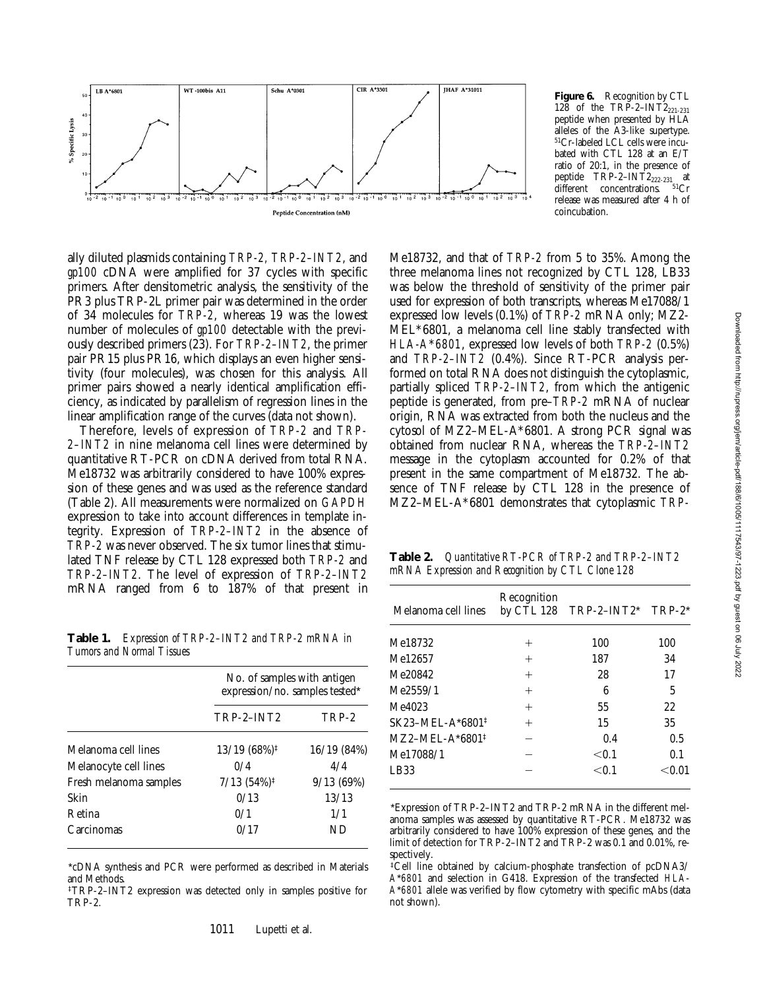

ally diluted plasmids containing *TRP-2, TRP-2–INT2*, and *gp100* cDNA were amplified for 37 cycles with specific primers. After densitometric analysis, the sensitivity of the PR3 plus TRP-2L primer pair was determined in the order of 34 molecules for *TRP-2*, whereas 19 was the lowest number of molecules of *gp100* detectable with the previously described primers (23). For *TRP-2–INT2*, the primer pair PR15 plus PR16, which displays an even higher sensitivity (four molecules), was chosen for this analysis. All primer pairs showed a nearly identical amplification efficiency, as indicated by parallelism of regression lines in the linear amplification range of the curves (data not shown).

Therefore, levels of expression of *TRP-2* and *TRP-2–INT2* in nine melanoma cell lines were determined by quantitative RT-PCR on cDNA derived from total RNA. Me18732 was arbitrarily considered to have 100% expression of these genes and was used as the reference standard (Table 2). All measurements were normalized on *GAPDH* expression to take into account differences in template integrity. Expression of *TRP-2–INT2* in the absence of *TRP-2* was never observed. The six tumor lines that stimulated TNF release by CTL 128 expressed both *TRP-2* and *TRP-2–INT2*. The level of expression of *TRP-2–INT2* mRNA ranged from 6 to 187% of that present in

**Table 1.** *Expression of TRP-2–INT2 and TRP-2 mRNA in Tumors and Normal Tissues*

|                        | No. of samples with antigen                      |             |  |  |
|------------------------|--------------------------------------------------|-------------|--|--|
|                        | expression/no. samples tested*                   |             |  |  |
|                        | $TRP-2-INT2$                                     | TRP-2       |  |  |
| Melanoma cell lines    | $13/19(68\%)^{\ddagger}$                         | 16/19 (84%) |  |  |
| Melanocyte cell lines  | 0/4                                              | 4/4         |  |  |
| Fresh melanoma samples | $7/13$ $(54\%)$ <sup><math>\ddagger</math></sup> | 9/13(69%)   |  |  |
| Skin                   | 0/13                                             | 13/13       |  |  |
| Retina                 | 0/1                                              | 1/1         |  |  |
| Carcinomas             | 0/17                                             | ND          |  |  |

\*cDNA synthesis and PCR were performed as described in Materials and Methods.

‡TRP-2–INT2 expression was detected only in samples positive for TRP-2.

**Figure 6.** Recognition by CTL 128 of the TRP-2-INT2 $_{221-231}$ peptide when presented by HLA alleles of the A3-like supertype. 51Cr-labeled LCL cells were incubated with CTL 128 at an E/T ratio of 20:1, in the presence of peptide TRP-2–INT2<sub>222-231</sub> at different concentrations. <sup>51</sup>Cr release was measured after 4 h of coincubation.

Me18732, and that of *TRP-2* from 5 to 35%. Among the three melanoma lines not recognized by CTL 128, LB33 was below the threshold of sensitivity of the primer pair used for expression of both transcripts, whereas Me17088/1 expressed low levels (0.1%) of *TRP-2* mRNA only; MZ2- MEL\*6801, a melanoma cell line stably transfected with *HLA-A*\**6801*, expressed low levels of both *TRP-2* (0.5%) and *TRP-2–INT2* (0.4%). Since RT-PCR analysis performed on total RNA does not distinguish the cytoplasmic, partially spliced *TRP-2–INT2*, from which the antigenic peptide is generated, from pre–*TRP-2* mRNA of nuclear origin, RNA was extracted from both the nucleus and the cytosol of MZ2–MEL-A\*6801. A strong PCR signal was obtained from nuclear RNA, whereas the *TRP-2–INT2* message in the cytoplasm accounted for 0.2% of that present in the same compartment of Me18732. The absence of TNF release by CTL 128 in the presence of MZ2–MEL-A\*6801 demonstrates that cytoplasmic *TRP-*

**Table 2.** *Quantitative RT-PCR of TRP-2 and TRP-2–INT2 mRNA Expression and Recognition by CTL Clone 128*

| Melanoma cell lines          | Recognition | by CTL 128 TRP-2-INT2* TRP-2* |        |
|------------------------------|-------------|-------------------------------|--------|
| Me18732                      | $^+$        | 100                           | 100    |
| Me12657                      | $^+$        | 187                           | 34     |
| Me20842                      | $^{+}$      | 28                            | 17     |
| Me2559/1                     | $\,+\,$     | 6                             | 5      |
| Me4023                       | $^+$        | 55                            | 22.    |
| SK23-MEL-A*6801 <sup>‡</sup> |             | 15                            | 35     |
| $MZ2-MEL-A*6801*$            |             | 0.4                           | 0.5    |
| Me17088/1                    |             | < 0.1                         | 0.1    |
| LB33                         |             | < 0.1                         | < 0.01 |
|                              |             |                               |        |

\*Expression of TRP-2–INT2 and TRP-2 mRNA in the different melanoma samples was assessed by quantitative RT-PCR. Me18732 was arbitrarily considered to have 100% expression of these genes, and the limit of detection for TRP-2–INT2 and TRP-2 was 0.1 and 0.01%, respectively.

‡Cell line obtained by calcium-phosphate transfection of pcDNA3/ *A*\**6801* and selection in G418. Expression of the transfected *HLA*-*A*\**6801* allele was verified by flow cytometry with specific mAbs (data not shown).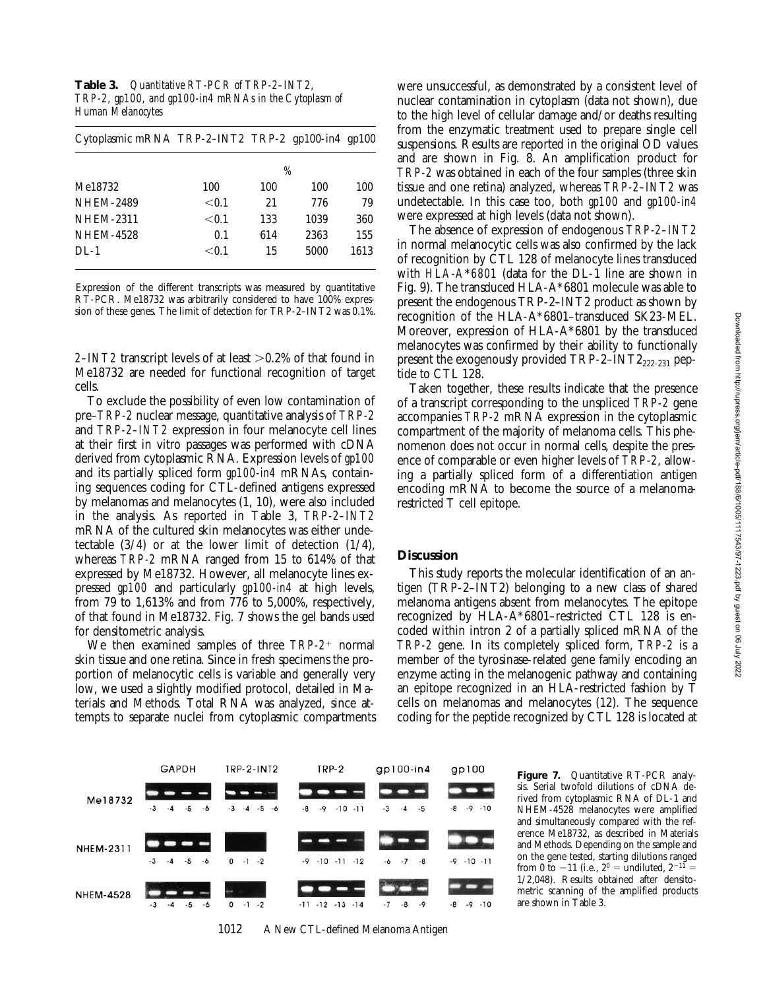Downloaded from http://rupress.org/jem/article-pdf/188/6/1005/1117543/97-1223.pdf by guest on 06 July 2022 Downloaded from http://rupress.org/jem/article-pdf/188/6/1005/1117543/97-1223.pdf by guest on 06 July 2022

**Table 3.** *Quantitative RT-PCR of TRP-2–INT2, TRP-2, gp100, and gp100-in4 mRNAs in the Cytoplasm of Human Melanocytes*

| Cytoplasmic mRNA TRP-2-INT2 TRP-2 gp100-in4 gp100 |       |     |      |      |
|---------------------------------------------------|-------|-----|------|------|
|                                                   | %     |     |      |      |
| Me18732                                           | 100   | 100 | 100  | 100  |
| <b>NHEM-2489</b>                                  | < 0.1 | 21  | 776  | 79   |
| <b>NHEM-2311</b>                                  | < 0.1 | 133 | 1039 | 360  |
| <b>NHEM-4528</b>                                  | 0.1   | 614 | 2363 | 155  |
| $DI-1$                                            | < 0.1 | 15  | 5000 | 1613 |

Expression of the different transcripts was measured by quantitative RT-PCR. Me18732 was arbitrarily considered to have 100% expression of these genes. The limit of detection for TRP-2–INT2 was 0.1%.

*2–INT2* transcript levels of at least  $> 0.2\%$  of that found in Me18732 are needed for functional recognition of target cells.

To exclude the possibility of even low contamination of pre–*TRP-2* nuclear message, quantitative analysis of *TRP-2* and *TRP-2–INT2* expression in four melanocyte cell lines at their first in vitro passages was performed with cDNA derived from cytoplasmic RNA. Expression levels of *gp100* and its partially spliced form *gp100-in4* mRNAs, containing sequences coding for CTL-defined antigens expressed by melanomas and melanocytes (1, 10), were also included in the analysis. As reported in Table 3, *TRP-2–INT2* mRNA of the cultured skin melanocytes was either undetectable  $(3/4)$  or at the lower limit of detection  $(1/4)$ , whereas *TRP-2* mRNA ranged from 15 to 614% of that expressed by Me18732. However, all melanocyte lines expressed *gp100* and particularly *gp100-in4* at high levels, from 79 to 1,613% and from 776 to 5,000%, respectively, of that found in Me18732. Fig. 7 shows the gel bands used for densitometric analysis.

We then examined samples of three *TRP-2<sup>+</sup>* normal skin tissue and one retina. Since in fresh specimens the proportion of melanocytic cells is variable and generally very low, we used a slightly modified protocol, detailed in Materials and Methods. Total RNA was analyzed, since attempts to separate nuclei from cytoplasmic compartments

were unsuccessful, as demonstrated by a consistent level of nuclear contamination in cytoplasm (data not shown), due to the high level of cellular damage and/or deaths resulting from the enzymatic treatment used to prepare single cell suspensions. Results are reported in the original OD values and are shown in Fig. 8. An amplification product for *TRP-2* was obtained in each of the four samples (three skin tissue and one retina) analyzed, whereas *TRP-2–INT2* was undetectable. In this case too, both *gp100* and *gp100-in4* were expressed at high levels (data not shown).

The absence of expression of endogenous *TRP-2–INT2* in normal melanocytic cells was also confirmed by the lack of recognition by CTL 128 of melanocyte lines transduced with *HLA-A*\**6801* (data for the DL-1 line are shown in Fig. 9). The transduced HLA-A\*6801 molecule was able to present the endogenous TRP-2–INT2 product as shown by recognition of the HLA-A\*6801–transduced SK23-MEL. Moreover, expression of HLA-A\*6801 by the transduced melanocytes was confirmed by their ability to functionally present the exogenously provided  $TRP-2-INT2_{222-231}$  peptide to CTL 128.

Taken together, these results indicate that the presence of a transcript corresponding to the unspliced *TRP-2* gene accompanies *TRP-2* mRNA expression in the cytoplasmic compartment of the majority of melanoma cells. This phenomenon does not occur in normal cells, despite the presence of comparable or even higher levels of *TRP-2*, allowing a partially spliced form of a differentiation antigen encoding mRNA to become the source of a melanomarestricted T cell epitope.

## **Discussion**

This study reports the molecular identification of an antigen (TRP-2–INT2) belonging to a new class of shared melanoma antigens absent from melanocytes. The epitope recognized by HLA-A\*6801–restricted CTL 128 is encoded within intron 2 of a partially spliced mRNA of the *TRP-2* gene. In its completely spliced form, *TRP-2* is a member of the tyrosinase-related gene family encoding an enzyme acting in the melanogenic pathway and containing an epitope recognized in an HLA-restricted fashion by T cells on melanomas and melanocytes (12). The sequence coding for the peptide recognized by CTL 128 is located at



1012 A New CTL-defined Melanoma Antigen

Figure 7. Quantitative RT-PCR analysis. Serial twofold dilutions of cDNA derived from cytoplasmic RNA of DL-1 and NHEM-4528 melanocytes were amplified and simultaneously compared with the reference Me18732, as described in Materials and Methods. Depending on the sample and on the gene tested, starting dilutions ranged from 0 to  $-11$  (i.e.,  $2^0$  = undiluted,  $2^{-11}$  = 1/2,048). Results obtained after densitometric scanning of the amplified products are shown in Table 3.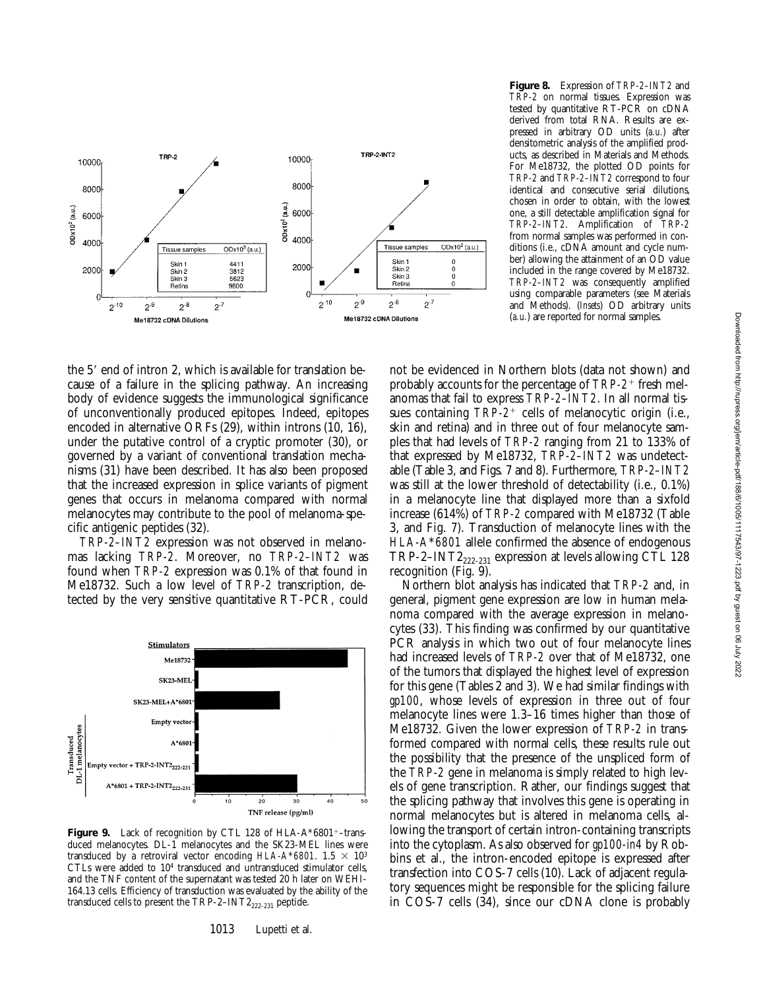

**Figure 8.** Expression of *TRP-2–INT2* and *TRP-2* on normal tissues. Expression was tested by quantitative RT-PCR on cDNA derived from total RNA. Results are expressed in arbitrary OD units (*a.u.*) after densitometric analysis of the amplified products, as described in Materials and Methods. For Me18732, the plotted OD points for *TRP-2* and *TRP-2–INT2* correspond to four identical and consecutive serial dilutions, chosen in order to obtain, with the lowest one, a still detectable amplification signal for *TRP-2–INT2*. Amplification of *TRP-2* from normal samples was performed in conditions (i.e., cDNA amount and cycle number) allowing the attainment of an OD value included in the range covered by Me18732. *TRP-2–INT2* was consequently amplified using comparable parameters (see Materials and Methods). (*Insets*) OD arbitrary units (*a.u.*) are reported for normal samples.

the 5' end of intron 2, which is available for translation because of a failure in the splicing pathway. An increasing body of evidence suggests the immunological significance of unconventionally produced epitopes. Indeed, epitopes encoded in alternative ORFs (29), within introns (10, 16), under the putative control of a cryptic promoter (30), or governed by a variant of conventional translation mechanisms (31) have been described. It has also been proposed that the increased expression in splice variants of pigment genes that occurs in melanoma compared with normal melanocytes may contribute to the pool of melanoma-specific antigenic peptides (32).

*TRP-2–INT2* expression was not observed in melanomas lacking *TRP-2*. Moreover, no *TRP-2–INT2* was found when *TRP-2* expression was 0.1% of that found in Me18732. Such a low level of *TRP-2* transcription, detected by the very sensitive quantitative RT-PCR, could



**Figure 9.** Lack of recognition by CTL 128 of HLA-A\*6801<sup>+</sup>-transduced melanocytes. DL-1 melanocytes and the SK23-MEL lines were transduced by a retroviral vector encoding  $HLA- A*6801$ . 1.5  $\times$  10<sup>3</sup> CTLs were added to 104 transduced and untransduced stimulator cells, and the TNF content of the supernatant was tested 20 h later on WEHI-164.13 cells. Efficiency of transduction was evaluated by the ability of the transduced cells to present the  $TRP-2-INT2_{222-231}$  peptide.

1013 Lupetti et al.

not be evidenced in Northern blots (data not shown) and probably accounts for the percentage of *TRP-2*1 fresh melanomas that fail to express *TRP-2–INT2*. In all normal tissues containing *TRP-2<sup>+</sup>* cells of melanocytic origin (i.e., skin and retina) and in three out of four melanocyte samples that had levels of *TRP-2* ranging from 21 to 133% of that expressed by Me18732, *TRP-2–INT2* was undetectable (Table 3, and Figs. 7 and 8). Furthermore, *TRP-2–INT2* was still at the lower threshold of detectability (i.e., 0.1%) in a melanocyte line that displayed more than a sixfold increase (614%) of *TRP-2* compared with Me18732 (Table 3, and Fig. 7). Transduction of melanocyte lines with the *HLA-A*\**6801* allele confirmed the absence of endogenous TRP-2–INT2 $_{222-231}$  expression at levels allowing CTL 128 recognition (Fig. 9).

Northern blot analysis has indicated that *TRP-2* and, in general, pigment gene expression are low in human melanoma compared with the average expression in melanocytes (33). This finding was confirmed by our quantitative PCR analysis in which two out of four melanocyte lines had increased levels of *TRP-2* over that of Me18732, one of the tumors that displayed the highest level of expression for this gene (Tables 2 and 3). We had similar findings with *gp100*, whose levels of expression in three out of four melanocyte lines were 1.3–16 times higher than those of Me18732. Given the lower expression of *TRP-2* in transformed compared with normal cells, these results rule out the possibility that the presence of the unspliced form of the *TRP-2* gene in melanoma is simply related to high levels of gene transcription. Rather, our findings suggest that the splicing pathway that involves this gene is operating in normal melanocytes but is altered in melanoma cells, allowing the transport of certain intron-containing transcripts into the cytoplasm. As also observed for *gp100-in4* by Robbins et al., the intron-encoded epitope is expressed after transfection into COS-7 cells (10). Lack of adjacent regulatory sequences might be responsible for the splicing failure in COS-7 cells (34), since our cDNA clone is probably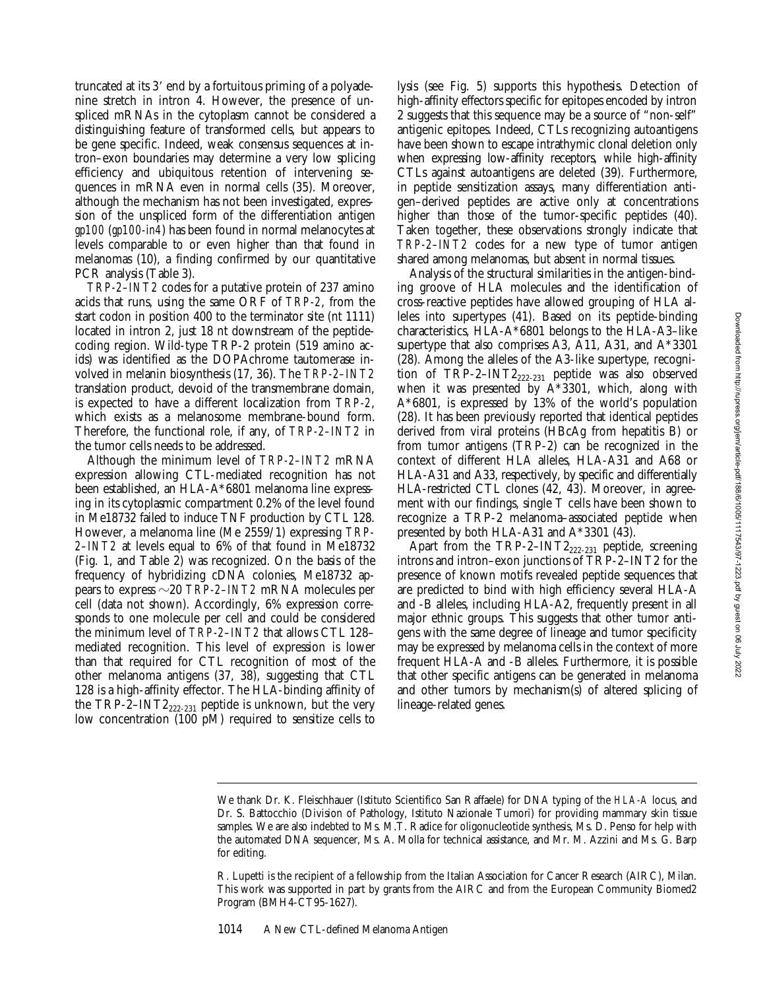truncated at its 3' end by a fortuitous priming of a polyadenine stretch in intron 4. However, the presence of unspliced mRNAs in the cytoplasm cannot be considered a distinguishing feature of transformed cells, but appears to be gene specific. Indeed, weak consensus sequences at intron–exon boundaries may determine a very low splicing efficiency and ubiquitous retention of intervening sequences in mRNA even in normal cells (35). Moreover, although the mechanism has not been investigated, expression of the unspliced form of the differentiation antigen *gp100* (*gp100-in4*) has been found in normal melanocytes at levels comparable to or even higher than that found in melanomas (10), a finding confirmed by our quantitative PCR analysis (Table 3).

*TRP-2–INT2* codes for a putative protein of 237 amino acids that runs, using the same ORF of *TRP-2*, from the start codon in position 400 to the terminator site (nt 1111) located in intron 2, just 18 nt downstream of the peptidecoding region. Wild-type TRP-2 protein (519 amino acids) was identified as the DOPAchrome tautomerase involved in melanin biosynthesis (17, 36). The *TRP-2–INT2* translation product, devoid of the transmembrane domain, is expected to have a different localization from *TRP-2*, which exists as a melanosome membrane-bound form. Therefore, the functional role, if any, of *TRP-2–INT2* in the tumor cells needs to be addressed.

Although the minimum level of *TRP-2–INT2* mRNA expression allowing CTL-mediated recognition has not been established, an HLA-A\*6801 melanoma line expressing in its cytoplasmic compartment 0.2% of the level found in Me18732 failed to induce TNF production by CTL 128. However, a melanoma line (Me 2559/1) expressing *TRP-2–INT2* at levels equal to 6% of that found in Me18732 (Fig. 1, and Table 2) was recognized. On the basis of the frequency of hybridizing cDNA colonies, Me18732 appears to express  $\sim$  20 *TRP-2–INT2* mRNA molecules per cell (data not shown). Accordingly, 6% expression corresponds to one molecule per cell and could be considered the minimum level of *TRP-2–INT2* that allows CTL 128– mediated recognition. This level of expression is lower than that required for CTL recognition of most of the other melanoma antigens (37, 38), suggesting that CTL 128 is a high-affinity effector. The HLA-binding affinity of the TRP-2–INT2<sub>222-231</sub> peptide is unknown, but the very low concentration (100 pM) required to sensitize cells to

lysis (see Fig. 5) supports this hypothesis. Detection of high-affinity effectors specific for epitopes encoded by intron 2 suggests that this sequence may be a source of "non-self" antigenic epitopes. Indeed, CTLs recognizing autoantigens have been shown to escape intrathymic clonal deletion only when expressing low-affinity receptors, while high-affinity CTLs against autoantigens are deleted (39). Furthermore, in peptide sensitization assays, many differentiation antigen–derived peptides are active only at concentrations higher than those of the tumor-specific peptides (40). Taken together, these observations strongly indicate that *TRP-2–INT2* codes for a new type of tumor antigen shared among melanomas, but absent in normal tissues.

Analysis of the structural similarities in the antigen-binding groove of HLA molecules and the identification of cross-reactive peptides have allowed grouping of HLA alleles into supertypes (41). Based on its peptide-binding characteristics, HLA-A\*6801 belongs to the HLA-A3–like supertype that also comprises A3, A11, A31, and A\*3301 (28). Among the alleles of the A3-like supertype, recognition of TRP-2-INT2<sub>222-231</sub> peptide was also observed when it was presented by  $A^*3301$ , which, along with A\*6801, is expressed by 13% of the world's population (28). It has been previously reported that identical peptides derived from viral proteins (HBcAg from hepatitis B) or from tumor antigens (TRP-2) can be recognized in the context of different HLA alleles, HLA-A31 and A68 or HLA-A31 and A33, respectively, by specific and differentially HLA-restricted CTL clones (42, 43). Moreover, in agreement with our findings, single T cells have been shown to recognize a TRP-2 melanoma–associated peptide when presented by both HLA-A31 and A\*3301 (43).

Apart from the  $\mathrm{TRP\text{-}2\text{-}INT2}_{222\text{-}231}$  peptide, screening introns and intron–exon junctions of TRP-2–INT2 for the presence of known motifs revealed peptide sequences that are predicted to bind with high efficiency several HLA-A and -B alleles, including HLA-A2, frequently present in all major ethnic groups. This suggests that other tumor antigens with the same degree of lineage and tumor specificity may be expressed by melanoma cells in the context of more frequent HLA-A and -B alleles. Furthermore, it is possible that other specific antigens can be generated in melanoma and other tumors by mechanism(s) of altered splicing of lineage-related genes.

We thank Dr. K. Fleischhauer (Istituto Scientifico San Raffaele) for DNA typing of the *HLA-A* locus, and Dr. S. Battocchio (Division of Pathology, Istituto Nazionale Tumori) for providing mammary skin tissue samples. We are also indebted to Ms. M.T. Radice for oligonucleotide synthesis, Ms. D. Penso for help with the automated DNA sequencer, Ms. A. Molla for technical assistance, and Mr. M. Azzini and Ms. G. Barp for editing.

R. Lupetti is the recipient of a fellowship from the Italian Association for Cancer Research (AIRC), Milan. This work was supported in part by grants from the AIRC and from the European Community Biomed2 Program (BMH4-CT95-1627).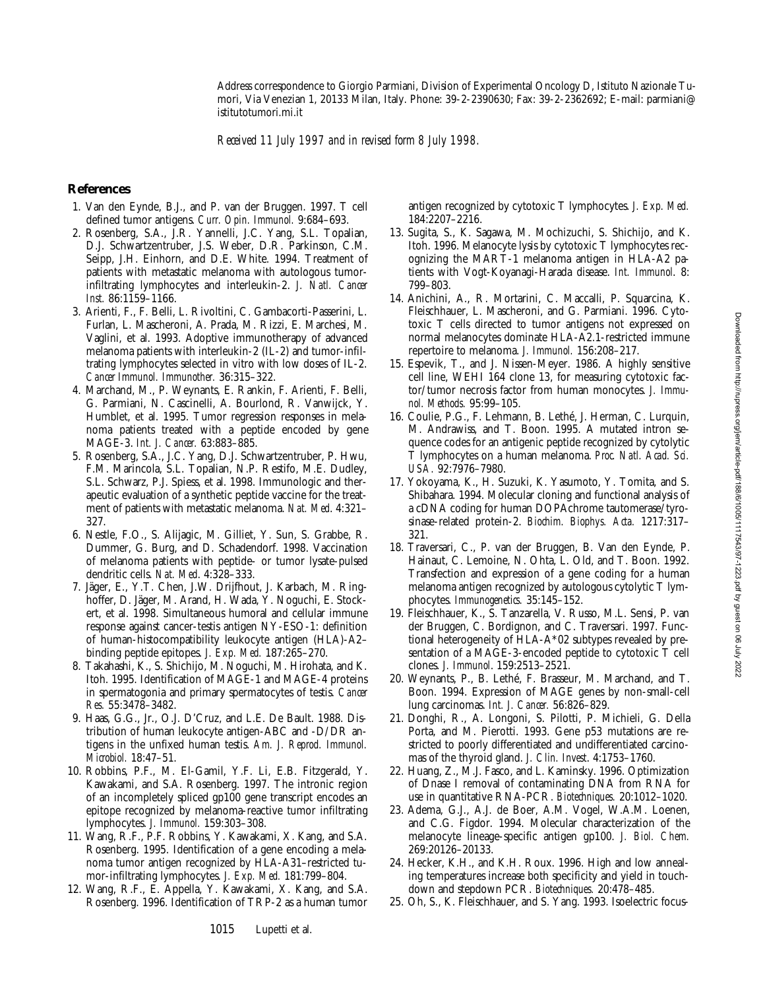Address correspondence to Giorgio Parmiani, Division of Experimental Oncology D, Istituto Nazionale Tumori, Via Venezian 1, 20133 Milan, Italy. Phone: 39-2-2390630; Fax: 39-2-2362692; E-mail: parmiani@ istitutotumori.mi.it

*Received 11 July 1997 and in revised form 8 July 1998.*

#### **References**

- 1. Van den Eynde, B.J., and P. van der Bruggen. 1997. T cell defined tumor antigens. *Curr. Opin. Immunol.* 9:684–693.
- 2. Rosenberg, S.A., J.R. Yannelli, J.C. Yang, S.L. Topalian, D.J. Schwartzentruber, J.S. Weber, D.R. Parkinson, C.M. Seipp, J.H. Einhorn, and D.E. White. 1994. Treatment of patients with metastatic melanoma with autologous tumorinfiltrating lymphocytes and interleukin-2. *J. Natl. Cancer Inst.* 86:1159–1166.
- 3. Arienti, F., F. Belli, L. Rivoltini, C. Gambacorti-Passerini, L. Furlan, L. Mascheroni, A. Prada, M. Rizzi, E. Marchesi, M. Vaglini, et al. 1993. Adoptive immunotherapy of advanced melanoma patients with interleukin-2 (IL-2) and tumor-infiltrating lymphocytes selected in vitro with low doses of IL-2. *Cancer Immunol. Immunother.* 36:315–322.
- 4. Marchand, M., P. Weynants, E. Rankin, F. Arienti, F. Belli, G. Parmiani, N. Cascinelli, A. Bourlond, R. Vanwijck, Y. Humblet, et al. 1995. Tumor regression responses in melanoma patients treated with a peptide encoded by gene MAGE-3. *Int. J. Cancer.* 63:883–885.
- 5. Rosenberg, S.A., J.C. Yang, D.J. Schwartzentruber, P. Hwu, F.M. Marincola, S.L. Topalian, N.P. Restifo, M.E. Dudley, S.L. Schwarz, P.J. Spiess, et al. 1998. Immunologic and therapeutic evaluation of a synthetic peptide vaccine for the treatment of patients with metastatic melanoma. *Nat. Med*. 4:321– 327.
- 6. Nestle, F.O., S. Alijagic, M. Gilliet, Y. Sun, S. Grabbe, R. Dummer, G. Burg, and D. Schadendorf. 1998. Vaccination of melanoma patients with peptide- or tumor lysate-pulsed dendritic cells. *Nat. Med*. 4:328–333.
- 7. Jäger, E., Y.T. Chen, J.W. Drijfhout, J. Karbach, M. Ringhoffer, D. Jäger, M. Arand, H. Wada, Y. Noguchi, E. Stockert, et al. 1998. Simultaneous humoral and cellular immune response against cancer-testis antigen NY-ESO-1: definition of human-histocompatibility leukocyte antigen (HLA)-A2– binding peptide epitopes. *J. Exp. Med.* 187:265–270.
- 8. Takahashi, K., S. Shichijo, M. Noguchi, M. Hirohata, and K. Itoh. 1995. Identification of MAGE-1 and MAGE-4 proteins in spermatogonia and primary spermatocytes of testis. *Cancer Res.* 55:3478–3482.
- 9. Haas, G.G., Jr., O.J. D'Cruz, and L.E. De Bault. 1988. Distribution of human leukocyte antigen-ABC and -D/DR antigens in the unfixed human testis. *Am. J. Reprod. Immunol. Microbiol.* 18:47–51.
- 10. Robbins, P.F., M. El-Gamil, Y.F. Li, E.B. Fitzgerald, Y. Kawakami, and S.A. Rosenberg. 1997. The intronic region of an incompletely spliced gp100 gene transcript encodes an epitope recognized by melanoma-reactive tumor infiltrating lymphocytes. *J. Immunol.* 159:303–308.
- 11. Wang, R.F., P.F. Robbins, Y. Kawakami, X. Kang, and S.A. Rosenberg. 1995. Identification of a gene encoding a melanoma tumor antigen recognized by HLA-A31–restricted tumor-infiltrating lymphocytes. *J. Exp. Med.* 181:799–804.
- 12. Wang, R.F., E. Appella, Y. Kawakami, X. Kang, and S.A. Rosenberg. 1996. Identification of TRP-2 as a human tumor

antigen recognized by cytotoxic T lymphocytes. *J. Exp. Med.* 184:2207–2216.

- 13. Sugita, S., K. Sagawa, M. Mochizuchi, S. Shichijo, and K. Itoh. 1996. Melanocyte lysis by cytotoxic T lymphocytes recognizing the MART-1 melanoma antigen in HLA-A2 patients with Vogt-Koyanagi-Harada disease. *Int. Immunol*. 8: 799–803.
- 14. Anichini, A., R. Mortarini, C. Maccalli, P. Squarcina, K. Fleischhauer, L. Mascheroni, and G. Parmiani. 1996. Cytotoxic T cells directed to tumor antigens not expressed on normal melanocytes dominate HLA-A2.1-restricted immune repertoire to melanoma. *J. Immunol.* 156:208–217.
- 15. Espevik, T., and J. Nissen-Meyer. 1986. A highly sensitive cell line, WEHI 164 clone 13, for measuring cytotoxic factor/tumor necrosis factor from human monocytes. *J. Immunol. Methods.* 95:99–105.
- 16. Coulie, P.G., F. Lehmann, B. Lethé, J. Herman, C. Lurquin, M. Andrawiss, and T. Boon. 1995. A mutated intron sequence codes for an antigenic peptide recognized by cytolytic T lymphocytes on a human melanoma. *Proc. Natl. Acad. Sci. USA.* 92:7976–7980.
- 17. Yokoyama, K., H. Suzuki, K. Yasumoto, Y. Tomita, and S. Shibahara. 1994. Molecular cloning and functional analysis of a cDNA coding for human DOPAchrome tautomerase/tyrosinase-related protein-2. *Biochim. Biophys. Acta.* 1217:317– 321.
- 18. Traversari, C., P. van der Bruggen, B. Van den Eynde, P. Hainaut, C. Lemoine, N. Ohta, L. Old, and T. Boon. 1992. Transfection and expression of a gene coding for a human melanoma antigen recognized by autologous cytolytic T lymphocytes. *Immunogenetics.* 35:145–152.
- 19. Fleischhauer, K., S. Tanzarella, V. Russo, M.L. Sensi, P. van der Bruggen, C. Bordignon, and C. Traversari. 1997. Functional heterogeneity of HLA-A\*02 subtypes revealed by presentation of a MAGE-3-encoded peptide to cytotoxic T cell clones. *J. Immunol*. 159:2513–2521.
- 20. Weynants, P., B. Lethé, F. Brasseur, M. Marchand, and T. Boon. 1994. Expression of MAGE genes by non-small-cell lung carcinomas. *Int. J. Cancer.* 56:826–829.
- 21. Donghi, R., A. Longoni, S. Pilotti, P. Michieli, G. Della Porta, and M. Pierotti. 1993. Gene p53 mutations are restricted to poorly differentiated and undifferentiated carcinomas of the thyroid gland. *J. Clin. Invest*. 4:1753–1760.
- 22. Huang, Z., M.J. Fasco, and L. Kaminsky. 1996. Optimization of Dnase I removal of contaminating DNA from RNA for use in quantitative RNA-PCR. *Biotechniques.* 20:1012–1020.
- 23. Adema, G.J., A.J. de Boer, A.M. Vogel, W.A.M. Loenen, and C.G. Figdor. 1994. Molecular characterization of the melanocyte lineage-specific antigen gp100. *J. Biol. Chem.* 269:20126–20133.
- 24. Hecker, K.H., and K.H. Roux. 1996. High and low annealing temperatures increase both specificity and yield in touchdown and stepdown PCR. *Biotechniques.* 20:478–485.
- 25. Oh, S., K. Fleischhauer, and S. Yang. 1993. Isoelectric focus-